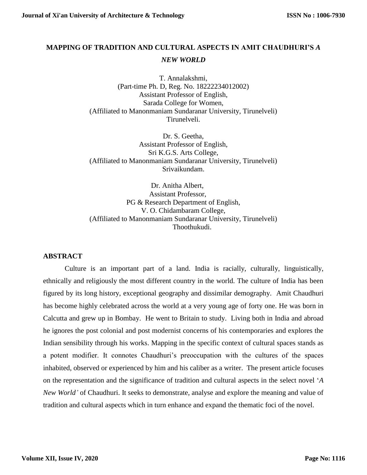## **MAPPING OF TRADITION AND CULTURAL ASPECTS IN AMIT CHAUDHURI'S** *A NEW WORLD*

T. Annalakshmi, (Part-time Ph. D, Reg. No. 18222234012002) Assistant Professor of English, Sarada College for Women, (Affiliated to Manonmaniam Sundaranar University, Tirunelveli) Tirunelveli.

Dr. S. Geetha, Assistant Professor of English, Sri K.G.S. Arts College, (Affiliated to Manonmaniam Sundaranar University, Tirunelveli) Srivaikundam.

Dr. Anitha Albert, Assistant Professor, PG & Research Department of English, V. O. Chidambaram College, (Affiliated to Manonmaniam Sundaranar University, Tirunelveli) Thoothukudi.

## **ABSTRACT**

Culture is an important part of a land. India is racially, culturally, linguistically, ethnically and religiously the most different country in the world. The culture of India has been figured by its long history, exceptional geography and dissimilar demography. Amit Chaudhuri has become highly celebrated across the world at a very young age of forty one. He was born in Calcutta and grew up in Bombay. He went to Britain to study. Living both in India and abroad he ignores the post colonial and post modernist concerns of his contemporaries and explores the Indian sensibility through his works. Mapping in the specific context of cultural spaces stands as a potent modifier. It connotes Chaudhuri's preoccupation with the cultures of the spaces inhabited, observed or experienced by him and his caliber as a writer. The present article focuses on the representation and the significance of tradition and cultural aspects in the select novel '*A New World'* of Chaudhuri. It seeks to demonstrate, analyse and explore the meaning and value of tradition and cultural aspects which in turn enhance and expand the thematic foci of the novel.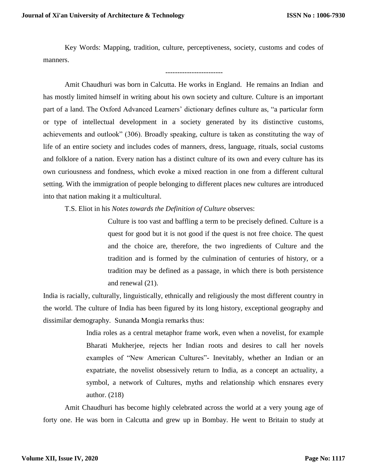Key Words: Mapping, tradition, culture, perceptiveness, society, customs and codes of manners.

------------------------

Amit Chaudhuri was born in Calcutta. He works in England. He remains an Indian and has mostly limited himself in writing about his own society and culture. Culture is an important part of a land. The Oxford Advanced Learners' dictionary defines culture as, "a particular form or type of intellectual development in a society generated by its distinctive customs, achievements and outlook" (306). Broadly speaking, culture is taken as constituting the way of life of an entire society and includes codes of manners, dress, language, rituals, social customs and folklore of a nation. Every nation has a distinct culture of its own and every culture has its own curiousness and fondness, which evoke a mixed reaction in one from a different cultural setting*.* With the immigration of people belonging to different places new cultures are introduced into that nation making it a multicultural.

T.S. Eliot in his *Notes towards the Definition of Culture* observes:

Culture is too vast and baffling a term to be precisely defined. Culture is a quest for good but it is not good if the quest is not free choice. The quest and the choice are, therefore, the two ingredients of Culture and the tradition and is formed by the culmination of centuries of history, or a tradition may be defined as a passage, in which there is both persistence and renewal (21).

India is racially, culturally, linguistically, ethnically and religiously the most different country in the world. The culture of India has been figured by its long history, exceptional geography and dissimilar demography. Sunanda Mongia remarks thus:

> India roles as a central metaphor frame work, even when a novelist, for example Bharati Mukherjee, rejects her Indian roots and desires to call her novels examples of "New American Cultures"- Inevitably, whether an Indian or an expatriate, the novelist obsessively return to India, as a concept an actuality, a symbol, a network of Cultures, myths and relationship which ensnares every author. (218)

Amit Chaudhuri has become highly celebrated across the world at a very young age of forty one. He was born in Calcutta and grew up in Bombay. He went to Britain to study at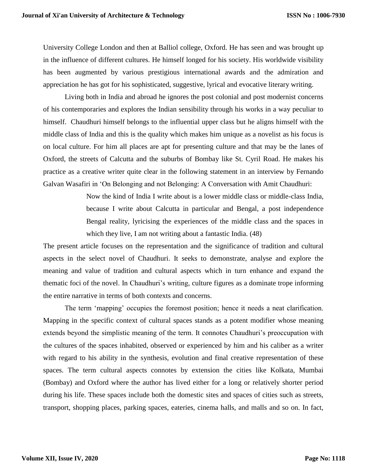University College London and then at Balliol college, Oxford. He has seen and was brought up in the influence of different cultures. He himself longed for his society. His worldwide visibility has been augmented by various prestigious international awards and the admiration and appreciation he has got for his sophisticated, suggestive, lyrical and evocative literary writing.

Living both in India and abroad he ignores the post colonial and post modernist concerns of his contemporaries and explores the Indian sensibility through his works in a way peculiar to himself. Chaudhuri himself belongs to the influential upper class but he aligns himself with the middle class of India and this is the quality which makes him unique as a novelist as his focus is on local culture. For him all places are apt for presenting culture and that may be the lanes of Oxford, the streets of Calcutta and the suburbs of Bombay like St. Cyril Road. He makes his practice as a creative writer quite clear in the following statement in an interview by Fernando Galvan Wasafiri in 'On Belonging and not Belonging: A Conversation with Amit Chaudhuri:

> Now the kind of India I write about is a lower middle class or middle-class India, because I write about Calcutta in particular and Bengal, a post independence Bengal reality, lyricising the experiences of the middle class and the spaces in which they live, I am not writing about a fantastic India.  $(48)$

The present article focuses on the representation and the significance of tradition and cultural aspects in the select novel of Chaudhuri. It seeks to demonstrate, analyse and explore the meaning and value of tradition and cultural aspects which in turn enhance and expand the thematic foci of the novel. In Chaudhuri's writing, culture figures as a dominate trope informing the entire narrative in terms of both contexts and concerns.

The term 'mapping' occupies the foremost position; hence it needs a neat clarification. Mapping in the specific context of cultural spaces stands as a potent modifier whose meaning extends beyond the simplistic meaning of the term. It connotes Chaudhuri's preoccupation with the cultures of the spaces inhabited, observed or experienced by him and his caliber as a writer with regard to his ability in the synthesis, evolution and final creative representation of these spaces. The term cultural aspects connotes by extension the cities like Kolkata, Mumbai (Bombay) and Oxford where the author has lived either for a long or relatively shorter period during his life. These spaces include both the domestic sites and spaces of cities such as streets, transport, shopping places, parking spaces, eateries, cinema halls, and malls and so on. In fact,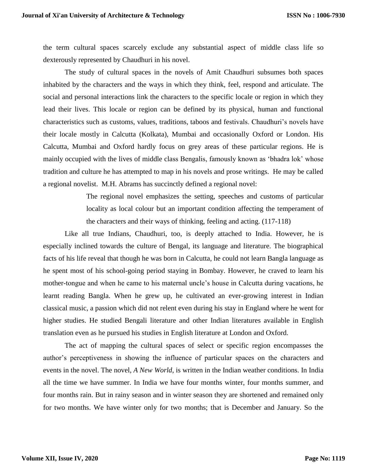the term cultural spaces scarcely exclude any substantial aspect of middle class life so dexterously represented by Chaudhuri in his novel.

The study of cultural spaces in the novels of Amit Chaudhuri subsumes both spaces inhabited by the characters and the ways in which they think, feel, respond and articulate. The social and personal interactions link the characters to the specific locale or region in which they lead their lives. This locale or region can be defined by its physical, human and functional characteristics such as customs, values, traditions, taboos and festivals. Chaudhuri's novels have their locale mostly in Calcutta (Kolkata), Mumbai and occasionally Oxford or London. His Calcutta, Mumbai and Oxford hardly focus on grey areas of these particular regions. He is mainly occupied with the lives of middle class Bengalis, famously known as 'bhadra lok' whose tradition and culture he has attempted to map in his novels and prose writings. He may be called a regional novelist. M.H. Abrams has succinctly defined a regional novel:

> The regional novel emphasizes the setting, speeches and customs of particular locality as local colour but an important condition affecting the temperament of the characters and their ways of thinking, feeling and acting. (117-118)

Like all true Indians, Chaudhuri, too, is deeply attached to India. However, he is especially inclined towards the culture of Bengal, its language and literature. The biographical facts of his life reveal that though he was born in Calcutta, he could not learn Bangla language as he spent most of his school-going period staying in Bombay. However, he craved to learn his mother-tongue and when he came to his maternal uncle's house in Calcutta during vacations, he learnt reading Bangla. When he grew up, he cultivated an ever-growing interest in Indian classical music, a passion which did not relent even during his stay in England where he went for higher studies. He studied Bengali literature and other Indian literatures available in English translation even as he pursued his studies in English literature at London and Oxford.

The act of mapping the cultural spaces of select or specific region encompasses the author's perceptiveness in showing the influence of particular spaces on the characters and events in the novel. The novel, *A New World*, is written in the Indian weather conditions. In India all the time we have summer. In India we have four months winter, four months summer, and four months rain. But in rainy season and in winter season they are shortened and remained only for two months. We have winter only for two months; that is December and January. So the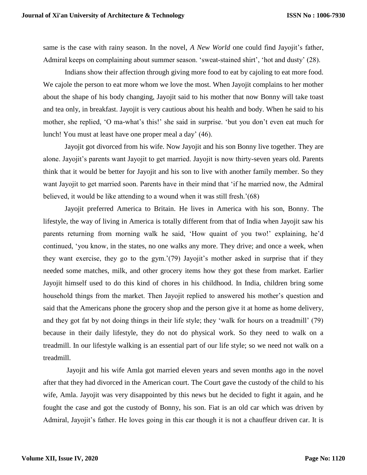same is the case with rainy season. In the novel, *A New World* one could find Jayojit's father, Admiral keeps on complaining about summer season. 'sweat-stained shirt', 'hot and dusty' (28).

Indians show their affection through giving more food to eat by cajoling to eat more food. We cajole the person to eat more whom we love the most. When Jayojit complains to her mother about the shape of his body changing, Jayojit said to his mother that now Bonny will take toast and tea only, in breakfast. Jayojit is very cautious about his health and body. When he said to his mother, she replied, 'O ma-what's this!' she said in surprise. 'but you don't even eat much for lunch! You must at least have one proper meal a day' (46).

Jayojit got divorced from his wife. Now Jayojit and his son Bonny live together. They are alone. Jayojit's parents want Jayojit to get married. Jayojit is now thirty-seven years old. Parents think that it would be better for Jayojit and his son to live with another family member. So they want Jayojit to get married soon. Parents have in their mind that 'if he married now, the Admiral believed, it would be like attending to a wound when it was still fresh.'(68)

Jayojit preferred America to Britain. He lives in America with his son, Bonny. The lifestyle, the way of living in America is totally different from that of India when Jayojit saw his parents returning from morning walk he said, 'How quaint of you two!' explaining, he'd continued, 'you know, in the states, no one walks any more. They drive; and once a week, when they want exercise, they go to the gym.'(79) Jayojit's mother asked in surprise that if they needed some matches, milk, and other grocery items how they got these from market. Earlier Jayojit himself used to do this kind of chores in his childhood. In India, children bring some household things from the market. Then Jayojit replied to answered his mother's question and said that the Americans phone the grocery shop and the person give it at home as home delivery, and they got fat by not doing things in their life style; they 'walk for hours on a treadmill' (79) because in their daily lifestyle, they do not do physical work. So they need to walk on a treadmill. In our lifestyle walking is an essential part of our life style; so we need not walk on a treadmill.

Jayojit and his wife Amla got married eleven years and seven months ago in the novel after that they had divorced in the American court. The Court gave the custody of the child to his wife, Amla. Jayojit was very disappointed by this news but he decided to fight it again, and he fought the case and got the custody of Bonny, his son. Fiat is an old car which was driven by Admiral, Jayojit's father. He loves going in this car though it is not a chauffeur driven car. It is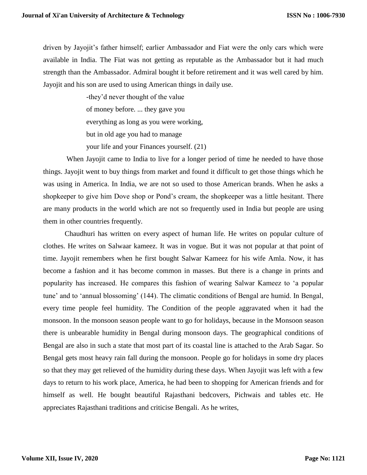driven by Jayojit's father himself; earlier Ambassador and Fiat were the only cars which were available in India. The Fiat was not getting as reputable as the Ambassador but it had much strength than the Ambassador. Admiral bought it before retirement and it was well cared by him. Jayojit and his son are used to using American things in daily use.

> -they'd never thought of the value of money before. ... they gave you everything as long as you were working, but in old age you had to manage your life and your Finances yourself. (21)

When Jayojit came to India to live for a longer period of time he needed to have those things. Jayojit went to buy things from market and found it difficult to get those things which he was using in America. In India, we are not so used to those American brands. When he asks a shopkeeper to give him Dove shop or Pond's cream, the shopkeeper was a little hesitant. There are many products in the world which are not so frequently used in India but people are using them in other countries frequently.

Chaudhuri has written on every aspect of human life. He writes on popular culture of clothes. He writes on Salwaar kameez. It was in vogue. But it was not popular at that point of time. Jayojit remembers when he first bought Salwar Kameez for his wife Amla. Now, it has become a fashion and it has become common in masses. But there is a change in prints and popularity has increased. He compares this fashion of wearing Salwar Kameez to 'a popular tune' and to 'annual blossoming' (144). The climatic conditions of Bengal are humid. In Bengal, every time people feel humidity. The Condition of the people aggravated when it had the monsoon. In the monsoon season people want to go for holidays, because in the Monsoon season there is unbearable humidity in Bengal during monsoon days. The geographical conditions of Bengal are also in such a state that most part of its coastal line is attached to the Arab Sagar. So Bengal gets most heavy rain fall during the monsoon. People go for holidays in some dry places so that they may get relieved of the humidity during these days. When Jayojit was left with a few days to return to his work place, America, he had been to shopping for American friends and for himself as well. He bought beautiful Rajasthani bedcovers, Pichwais and tables etc. He appreciates Rajasthani traditions and criticise Bengali. As he writes,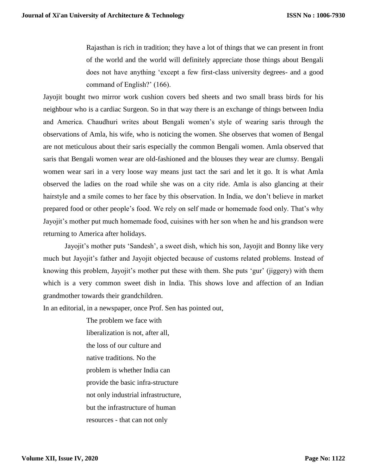Rajasthan is rich in tradition; they have a lot of things that we can present in front of the world and the world will definitely appreciate those things about Bengali does not have anything 'except a few first-class university degrees- and a good command of English?' (166).

Jayojit bought two mirror work cushion covers bed sheets and two small brass birds for his neighbour who is a cardiac Surgeon. So in that way there is an exchange of things between India and America. Chaudhuri writes about Bengali women's style of wearing saris through the observations of Amla, his wife, who is noticing the women. She observes that women of Bengal are not meticulous about their saris especially the common Bengali women. Amla observed that saris that Bengali women wear are old-fashioned and the blouses they wear are clumsy. Bengali women wear sari in a very loose way means just tact the sari and let it go. It is what Amla observed the ladies on the road while she was on a city ride. Amla is also glancing at their hairstyle and a smile comes to her face by this observation. In India, we don't believe in market prepared food or other people's food. We rely on self made or homemade food only. That's why Jayojit's mother put much homemade food, cuisines with her son when he and his grandson were returning to America after holidays.

Jayojit's mother puts 'Sandesh', a sweet dish, which his son, Jayojit and Bonny like very much but Jayojit's father and Jayojit objected because of customs related problems. Instead of knowing this problem, Jayojit's mother put these with them. She puts 'gur' (jiggery) with them which is a very common sweet dish in India. This shows love and affection of an Indian grandmother towards their grandchildren.

In an editorial, in a newspaper, once Prof. Sen has pointed out,

The problem we face with liberalization is not, after all, the loss of our culture and native traditions. No the problem is whether India can provide the basic infra-structure not only industrial infrastructure, but the infrastructure of human resources - that can not only